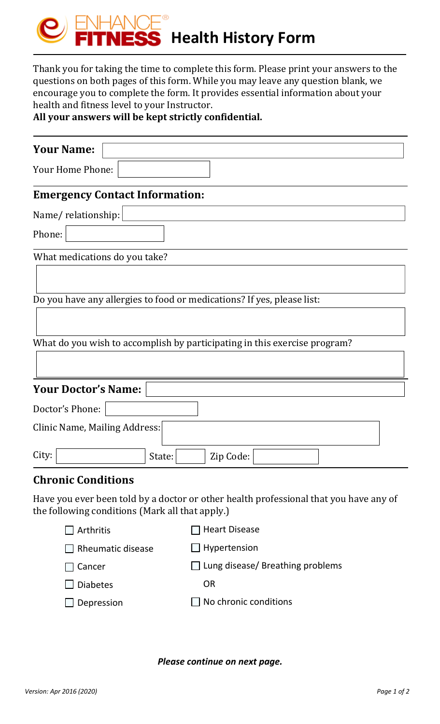

Thank you for taking the time to complete this form. Please print your answers to the questions on both pages of this form. While you may leave any question blank, we encourage you to complete the form. It provides essential information about your health and fitness level to your Instructor.

**All your answers will be kept strictly confidential.**

| <b>Your Name:</b>                                                                                                                        |  |  |  |
|------------------------------------------------------------------------------------------------------------------------------------------|--|--|--|
| Your Home Phone:                                                                                                                         |  |  |  |
| <b>Emergency Contact Information:</b>                                                                                                    |  |  |  |
| Name/relationship:                                                                                                                       |  |  |  |
| Phone:                                                                                                                                   |  |  |  |
| What medications do you take?                                                                                                            |  |  |  |
|                                                                                                                                          |  |  |  |
| Do you have any allergies to food or medications? If yes, please list:                                                                   |  |  |  |
| What do you wish to accomplish by participating in this exercise program?                                                                |  |  |  |
| <b>Your Doctor's Name:</b>                                                                                                               |  |  |  |
| Doctor's Phone:                                                                                                                          |  |  |  |
| Clinic Name, Mailing Address:                                                                                                            |  |  |  |
| City:<br>State:<br>Zip Code:                                                                                                             |  |  |  |
| <b>Chronic Conditions</b>                                                                                                                |  |  |  |
| Have you ever been told by a doctor or other health professional that you have any of<br>the following conditions (Mark all that apply.) |  |  |  |

| $\Box$ Arthritis         | $\Box$ Heart Disease                    |
|--------------------------|-----------------------------------------|
| $\Box$ Rheumatic disease | $\Box$ Hypertension                     |
| $\Box$ Cancer            | $\Box$ Lung disease/ Breathing problems |
| $\Box$ Diabetes          | <b>OR</b>                               |
| $\Box$ Depression        | $\Box$ No chronic conditions            |
|                          |                                         |

*Please continue on next page.*